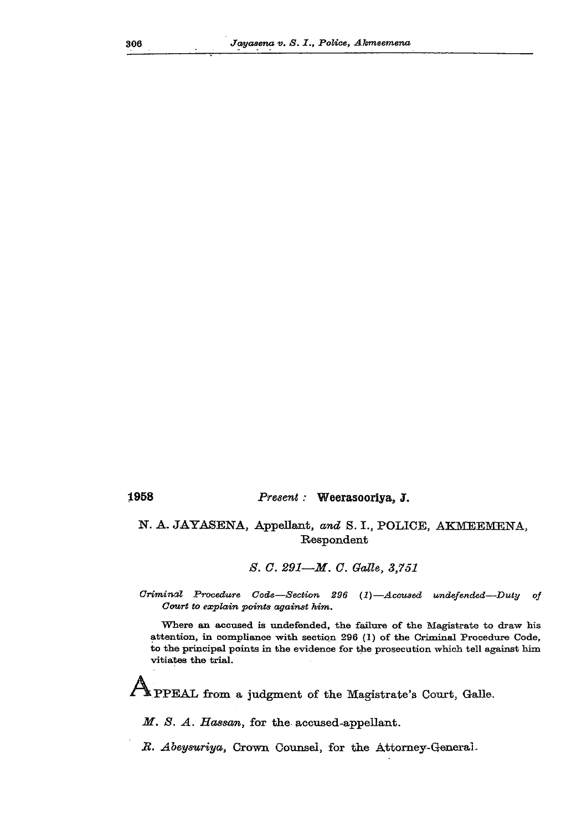## **1958** *Present:* **Weerasooriya, J.**

## **N. A. JAYASENA, Appellant,** *and* **S. I., POLICE, AKMEEMENA, R>espondent**

## *S. C. 291—M. 0. GaUe, 3,751*

*Criminal Procedure Code—Section 296* (i)—*Accused undefended—Duly of Court to explain points against him.* 

Where an accused is undefended, the failure of the Magistrate to draw his attention, in compliance with section  $296$  (1) of the Criminal Procedure Code, to the principal points in the evidence for the prosecution which tell against him vitiates the trial.

**PPEAL from a judgment of the Magistrate's Court, Galle.** 

*M. S. A. Hassan,* **for the accused-appellant.** 

*B. Abeysuriya,* **Crown Counsel, for the Attorney-General-**